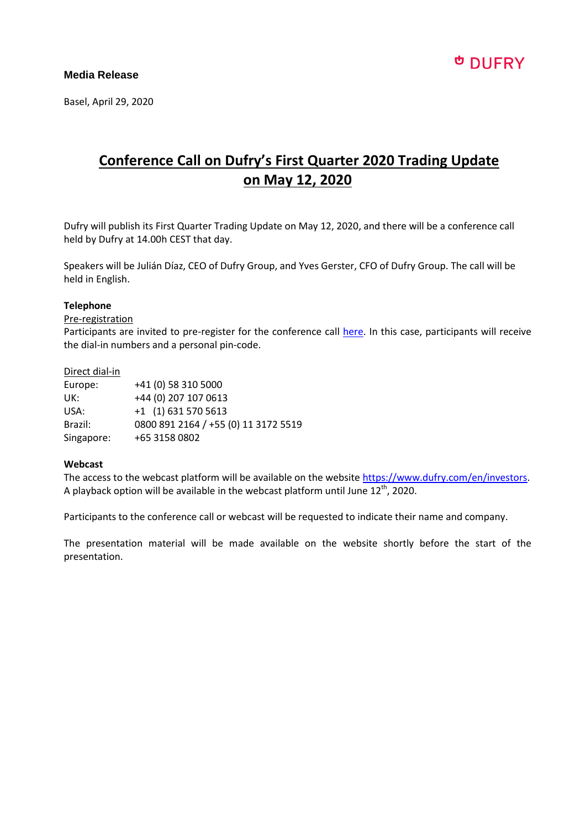Basel, April 29, 2020

## **Conference Call on Dufry's First Quarter 2020 Trading Update on May 12, 2020**

Dufry will publish its First Quarter Trading Update on May 12, 2020, and there will be a conference call held by Dufry at 14.00h CEST that day.

Speakers will be Julián Díaz, CEO of Dufry Group, and Yves Gerster, CFO of Dufry Group. The call will be held in English.

### **Telephone**

#### Pre-registration

Participants are invited to pre-register for the conference call [here.](https://services3.choruscall.ch/DiamondPassRegistration/register?confirmationNumber=5303645&linkSecurityString=3a99e137e) In this case, participants will receive the dial-in numbers and a personal pin-code.

#### Direct dial-in

| Europe:    | +41 (0) 58 310 5000                  |
|------------|--------------------------------------|
| UK:        | +44 (0) 207 107 0613                 |
| USA:       | $+1$ (1) 631 570 5613                |
| Brazil:    | 0800 891 2164 / +55 (0) 11 3172 5519 |
| Singapore: | +65 3158 0802                        |

### **Webcast**

The access to the webcast platform will be available on the websit[e https://www.dufry.com/en/investors.](https://www.dufry.com/en/investors) A playback option will be available in the webcast platform until June  $12^{\text{th}}$ , 2020.

Participants to the conference call or webcast will be requested to indicate their name and company.

The presentation material will be made available on the website shortly before the start of the presentation.